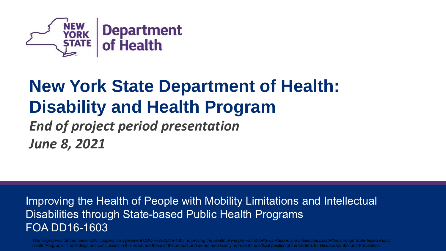

### **New York State Department of Health: Disability and Health Program**  *End of project period presentation June 8, 2021*

Improving the Health of People with Mobility Limitations and Intellectual Disabilities through State-based Public Health Programs FOA DD16-1603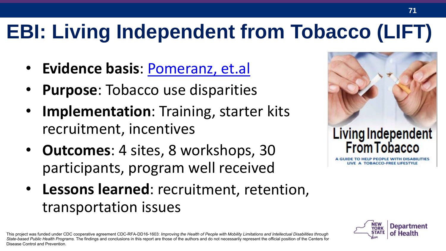# **EBI: Living Independent from Tobacco (LIFT)**

- **Evidence basis**: [Pomeranz, et.al](https://www.omicsonline.org/open-access/creating-a-tobacco-cessation-program-for-people-with-disabilities-2155-6105-5-204.php?aid=35685)
- **Purpose**: Tobacco use disparities
- **Implementation**: Training, starter kits recruitment, incentives
- **Outcomes**: 4 sites, 8 workshops, 30 participants, program well received
- **Lessons learned**: recruitment, retention, transportation issues

This project was funded under CDC cooperative agreement CDC-RFA-DD16-1603: *Improving the Health of People with Mobility Limitations and Intellectual Disabilities through State-based Public Health Programs.* The findings and conclusions in this report are those of the authors and do not necessarily represent the official position of the Centers for Disease Control and Prevention.



LIVE A TOBACCO-FREE LIFESTYLE

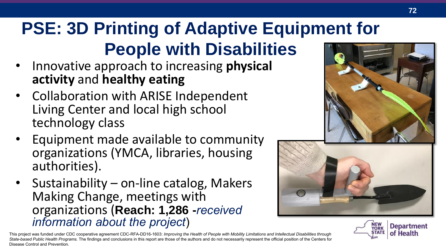## **PSE: 3D Printing of Adaptive Equipment for People with Disabilities**

- Innovative approach to increasing **physical activity** and **healthy eating**
- Collaboration with ARISE Independent Living Center and local high school technology class
- Equipment made available to community organizations (YMCA, libraries, housing authorities).
- Sustainability on-line catalog, Makers Making Change, meetings with organizations (**Reach: 1,286 -***received information about the project*)





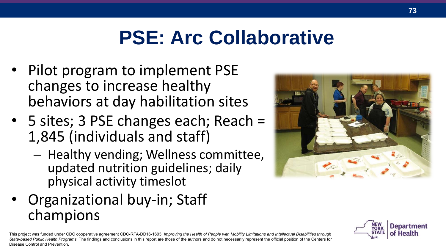# **PSE: Arc Collaborative**

- Pilot program to implement PSE changes to increase healthy behaviors at day habilitation sites
- 5 sites; 3 PSE changes each; Reach = 1,845 (individuals and staff)
	- Healthy vending; Wellness committee, updated nutrition guidelines; daily physical activity timeslot
- Organizational buy-in; Staff champions